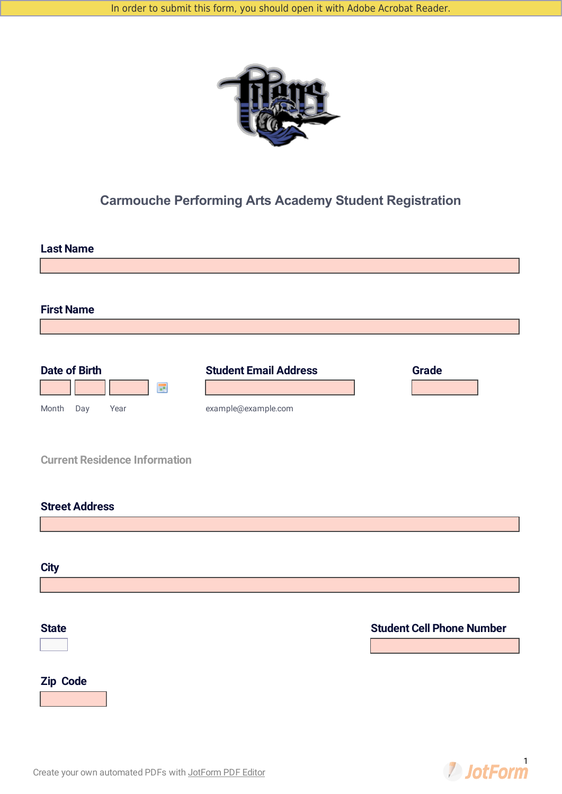

# **Carmouche Performing Arts Academy Student Registration**



**2** JotForm

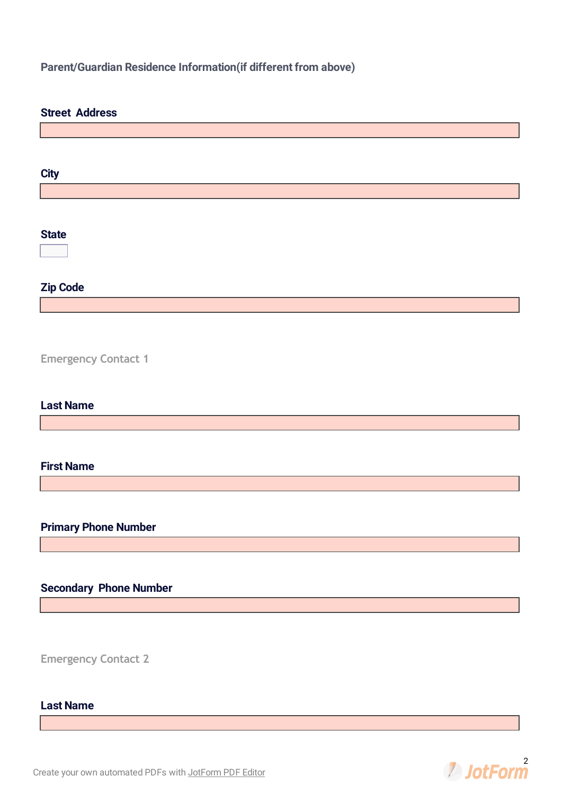## **Parent/Guardian Residence Information(if different from above)**

| <b>Street Address</b>         |
|-------------------------------|
|                               |
|                               |
|                               |
| <b>City</b>                   |
|                               |
|                               |
| <b>State</b>                  |
| $\blacktriangledown$          |
|                               |
| <b>Zip Code</b>               |
|                               |
|                               |
|                               |
| <b>Emergency Contact 1</b>    |
|                               |
|                               |
| <b>Last Name</b>              |
|                               |
|                               |
|                               |
| <b>First Name</b>             |
|                               |
|                               |
| <b>Primary Phone Number</b>   |
|                               |
|                               |
|                               |
| <b>Secondary Phone Number</b> |
|                               |
|                               |
|                               |
| <b>Emergency Contact 2</b>    |

# **Last Name**

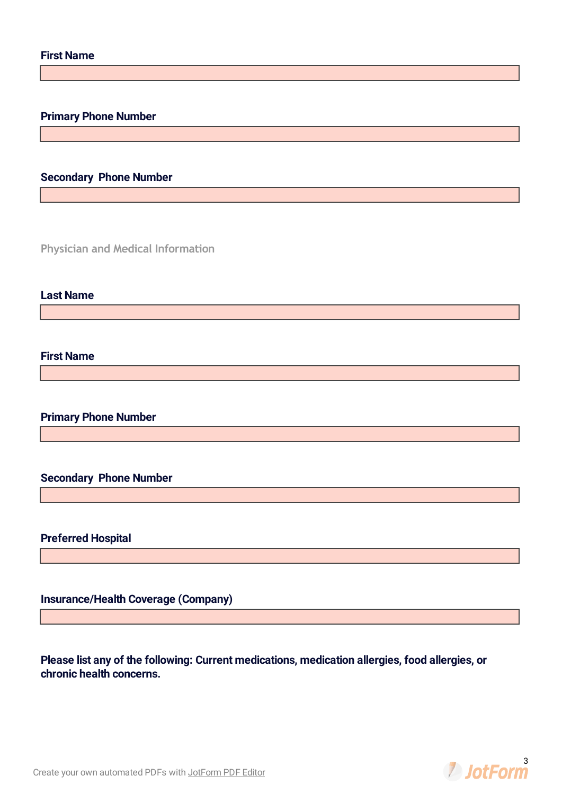## **Primary Phone Number**

## **Secondary Phone Number**

**Physician and Medical Information**

#### **Last Name**

### **First Name**

**Primary Phone Number**

#### **Secondary Phone Number**

### **Preferred Hospital**

**Insurance/Health Coverage (Company)**

**Please list any of the following: Current medications, medication allergies, food allergies, or chronic health concerns.**